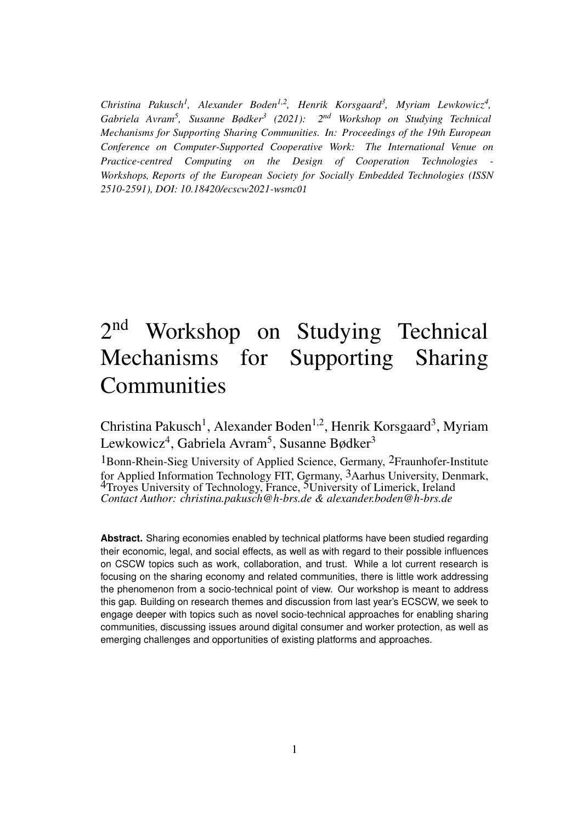*Christina Pakusch<sup>1</sup> , Alexander Boden1,2 , Henrik Korsgaard<sup>3</sup> , Myriam Lewkowicz<sup>4</sup> , Gabriela Avram<sup>5</sup> , Susanne Bødker<sup>3</sup> (2021): 2 nd Workshop on Studying Technical Mechanisms for Supporting Sharing Communities. In: Proceedings of the 19th European Conference on Computer-Supported Cooperative Work: The International Venue on Practice-centred Computing on the Design of Cooperation Technologies - Workshops, Reports of the European Society for Socially Embedded Technologies (ISSN 2510-2591), DOI: 10.18420/ecscw2021-wsmc01*

# 2<sup>nd</sup> Workshop on Studying Technical Mechanisms for Supporting Sharing Communities

Christina Pakusch<sup>1</sup>, Alexander Boden<sup>1,2</sup>, Henrik Korsgaard<sup>3</sup>, Myriam Lewkowicz<sup>4</sup>, Gabriela Avram<sup>5</sup>, Susanne Bødker<sup>3</sup>

1Bonn-Rhein-Sieg University of Applied Science, Germany, 2Fraunhofer-Institute for Applied Information Technology FIT, Germany, <sup>3</sup>Aarhus University, Denmark, <sup>4</sup>Troyes University of Technology, France, <sup>5</sup>University of Limerick, Ireland *Contact Author: christina.pakusch@h-brs.de & alexander.boden@h-brs.de*

**Abstract.** Sharing economies enabled by technical platforms have been studied regarding their economic, legal, and social effects, as well as with regard to their possible influences on CSCW topics such as work, collaboration, and trust. While a lot current research is focusing on the sharing economy and related communities, there is little work addressing the phenomenon from a socio-technical point of view. Our workshop is meant to address this gap. Building on research themes and discussion from last year's ECSCW, we seek to engage deeper with topics such as novel socio-technical approaches for enabling sharing communities, discussing issues around digital consumer and worker protection, as well as emerging challenges and opportunities of existing platforms and approaches.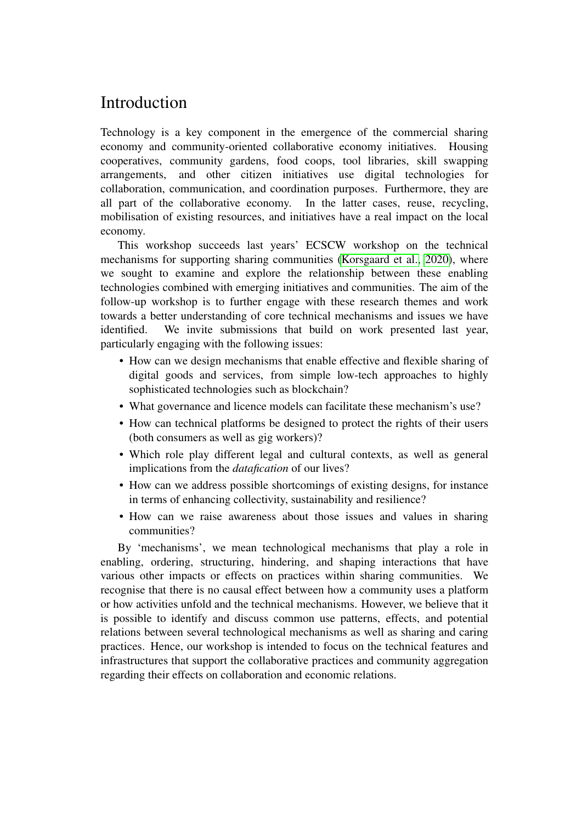# **Introduction**

Technology is a key component in the emergence of the commercial sharing economy and community-oriented collaborative economy initiatives. Housing cooperatives, community gardens, food coops, tool libraries, skill swapping arrangements, and other citizen initiatives use digital technologies for collaboration, communication, and coordination purposes. Furthermore, they are all part of the collaborative economy. In the latter cases, reuse, recycling, mobilisation of existing resources, and initiatives have a real impact on the local economy.

This workshop succeeds last years' ECSCW workshop on the technical mechanisms for supporting sharing communities [\(Korsgaard et al., 2020\)](#page-11-0), where we sought to examine and explore the relationship between these enabling technologies combined with emerging initiatives and communities. The aim of the follow-up workshop is to further engage with these research themes and work towards a better understanding of core technical mechanisms and issues we have identified. We invite submissions that build on work presented last year, particularly engaging with the following issues:

- How can we design mechanisms that enable effective and flexible sharing of digital goods and services, from simple low-tech approaches to highly sophisticated technologies such as blockchain?
- What governance and licence models can facilitate these mechanism's use?
- How can technical platforms be designed to protect the rights of their users (both consumers as well as gig workers)?
- Which role play different legal and cultural contexts, as well as general implications from the *datafication* of our lives?
- How can we address possible shortcomings of existing designs, for instance in terms of enhancing collectivity, sustainability and resilience?
- How can we raise awareness about those issues and values in sharing communities?

By 'mechanisms', we mean technological mechanisms that play a role in enabling, ordering, structuring, hindering, and shaping interactions that have various other impacts or effects on practices within sharing communities. We recognise that there is no causal effect between how a community uses a platform or how activities unfold and the technical mechanisms. However, we believe that it is possible to identify and discuss common use patterns, effects, and potential relations between several technological mechanisms as well as sharing and caring practices. Hence, our workshop is intended to focus on the technical features and infrastructures that support the collaborative practices and community aggregation regarding their effects on collaboration and economic relations.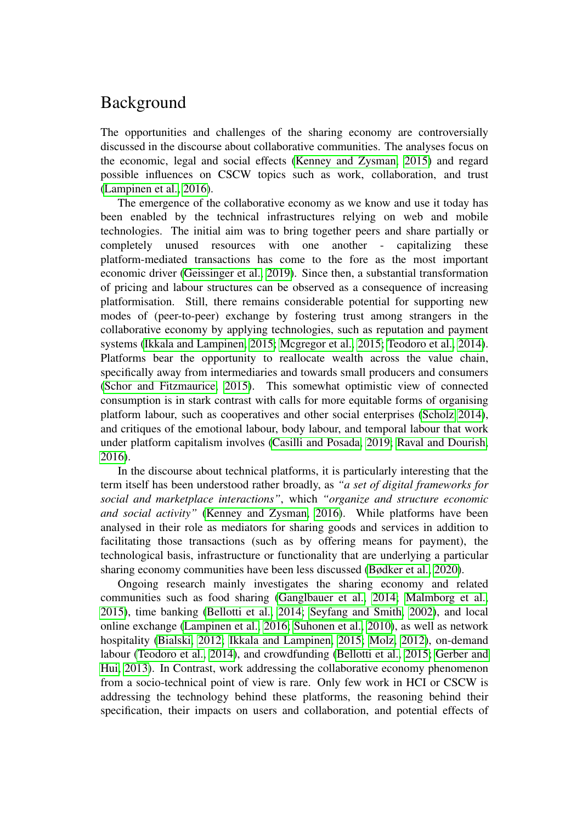## Background

The opportunities and challenges of the sharing economy are controversially discussed in the discourse about collaborative communities. The analyses focus on the economic, legal and social effects [\(Kenney and Zysman, 2015\)](#page-10-0) and regard possible influences on CSCW topics such as work, collaboration, and trust [\(Lampinen et al., 2016\)](#page-11-1).

The emergence of the collaborative economy as we know and use it today has been enabled by the technical infrastructures relying on web and mobile technologies. The initial aim was to bring together peers and share partially or completely unused resources with one another - capitalizing these platform-mediated transactions has come to the fore as the most important economic driver [\(Geissinger et al., 2019\)](#page-10-1). Since then, a substantial transformation of pricing and labour structures can be observed as a consequence of increasing platformisation. Still, there remains considerable potential for supporting new modes of (peer-to-peer) exchange by fostering trust among strangers in the collaborative economy by applying technologies, such as reputation and payment systems [\(Ikkala and Lampinen, 2015;](#page-10-2) [Mcgregor et al., 2015;](#page-11-2) [Teodoro et al., 2014\)](#page-11-3). Platforms bear the opportunity to reallocate wealth across the value chain, specifically away from intermediaries and towards small producers and consumers [\(Schor and Fitzmaurice, 2015\)](#page-11-4). This somewhat optimistic view of connected consumption is in stark contrast with calls for more equitable forms of organising platform labour, such as cooperatives and other social enterprises [\(Scholz 2014\)](#page-11-5), and critiques of the emotional labour, body labour, and temporal labour that work under platform capitalism involves [\(Casilli and Posada, 2019;](#page-10-3) [Raval and Dourish,](#page-11-6) [2016\)](#page-11-6).

In the discourse about technical platforms, it is particularly interesting that the term itself has been understood rather broadly, as *"a set of digital frameworks for social and marketplace interactions"*, which *"organize and structure economic and social activity"* [\(Kenney and Zysman, 2016\)](#page-10-4). While platforms have been analysed in their role as mediators for sharing goods and services in addition to facilitating those transactions (such as by offering means for payment), the technological basis, infrastructure or functionality that are underlying a particular sharing economy communities have been less discussed [\(Bødker et al., 2020\)](#page-10-5).

Ongoing research mainly investigates the sharing economy and related communities such as food sharing [\(Ganglbauer et al., 2014;](#page-10-6) [Malmborg et al.,](#page-11-7) [2015\)](#page-11-7), time banking [\(Bellotti et al., 2014;](#page-9-0) [Seyfang and Smith, 2002\)](#page-11-8), and local online exchange [\(Lampinen et al., 2016;](#page-11-1) [Suhonen et al., 2010\)](#page-11-9), as well as network hospitality [\(Bialski, 2012;](#page-10-7) [Ikkala and Lampinen, 2015;](#page-10-2) [Molz, 2012\)](#page-11-10), on-demand labour [\(Teodoro et al., 2014\)](#page-11-3), and crowdfunding [\(Bellotti et al., 2015;](#page-9-1) [Gerber and](#page-10-8) [Hui, 2013\)](#page-10-8). In Contrast, work addressing the collaborative economy phenomenon from a socio-technical point of view is rare. Only few work in HCI or CSCW is addressing the technology behind these platforms, the reasoning behind their specification, their impacts on users and collaboration, and potential effects of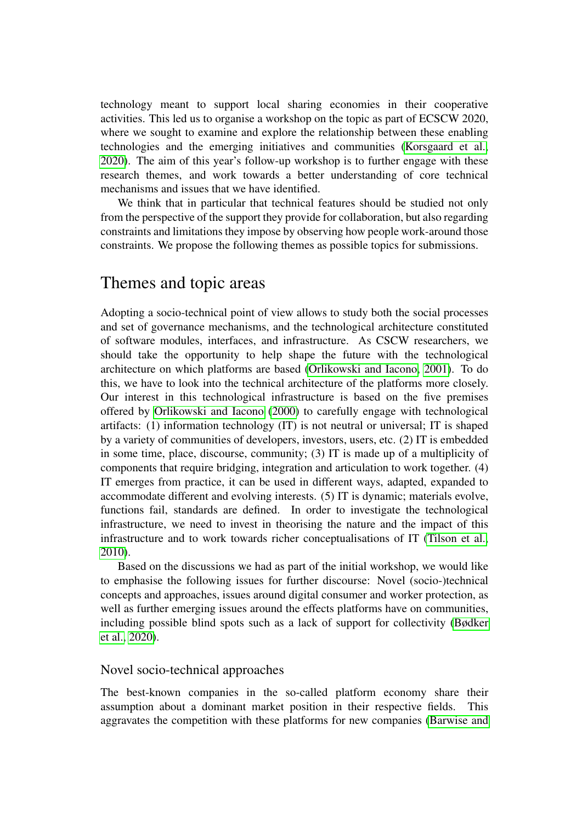technology meant to support local sharing economies in their cooperative activities. This led us to organise a workshop on the topic as part of ECSCW 2020, where we sought to examine and explore the relationship between these enabling technologies and the emerging initiatives and communities [\(Korsgaard et al.,](#page-11-0) [2020\)](#page-11-0). The aim of this year's follow-up workshop is to further engage with these research themes, and work towards a better understanding of core technical mechanisms and issues that we have identified.

We think that in particular that technical features should be studied not only from the perspective of the support they provide for collaboration, but also regarding constraints and limitations they impose by observing how people work-around those constraints. We propose the following themes as possible topics for submissions.

### Themes and topic areas

Adopting a socio-technical point of view allows to study both the social processes and set of governance mechanisms, and the technological architecture constituted of software modules, interfaces, and infrastructure. As CSCW researchers, we should take the opportunity to help shape the future with the technological architecture on which platforms are based [\(Orlikowski and Iacono, 2001\)](#page-11-11). To do this, we have to look into the technical architecture of the platforms more closely. Our interest in this technological infrastructure is based on the five premises offered by [Orlikowski and Iacono](#page-11-12) [\(2000\)](#page-11-12) to carefully engage with technological artifacts: (1) information technology (IT) is not neutral or universal; IT is shaped by a variety of communities of developers, investors, users, etc. (2) IT is embedded in some time, place, discourse, community; (3) IT is made up of a multiplicity of components that require bridging, integration and articulation to work together. (4) IT emerges from practice, it can be used in different ways, adapted, expanded to accommodate different and evolving interests. (5) IT is dynamic; materials evolve, functions fail, standards are defined. In order to investigate the technological infrastructure, we need to invest in theorising the nature and the impact of this infrastructure and to work towards richer conceptualisations of IT [\(Tilson et al.,](#page-11-13) [2010\)](#page-11-13).

Based on the discussions we had as part of the initial workshop, we would like to emphasise the following issues for further discourse: Novel (socio-)technical concepts and approaches, issues around digital consumer and worker protection, as well as further emerging issues around the effects platforms have on communities, including possible blind spots such as a lack of support for collectivity [\(Bødker](#page-10-5) [et al., 2020\)](#page-10-5).

#### Novel socio-technical approaches

The best-known companies in the so-called platform economy share their assumption about a dominant market position in their respective fields. This aggravates the competition with these platforms for new companies [\(Barwise and](#page-9-2)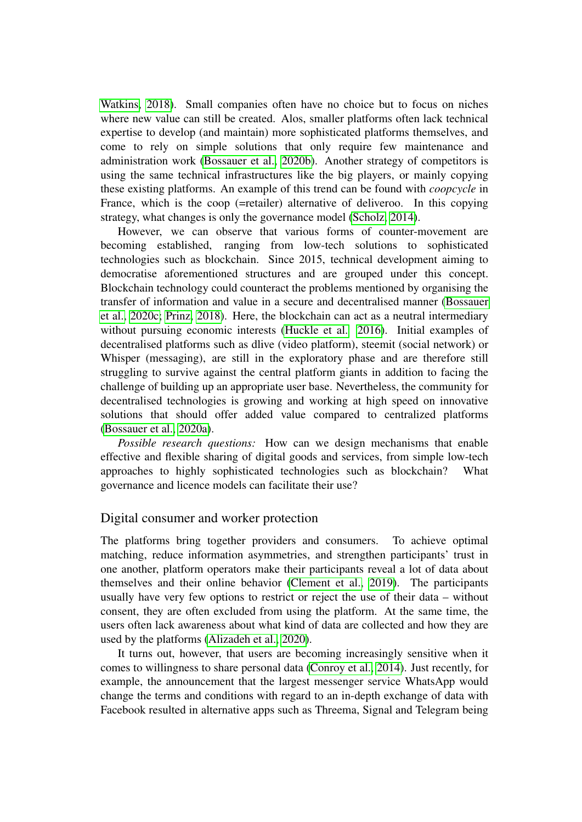[Watkins, 2018\)](#page-9-2). Small companies often have no choice but to focus on niches where new value can still be created. Alos, smaller platforms often lack technical expertise to develop (and maintain) more sophisticated platforms themselves, and come to rely on simple solutions that only require few maintenance and administration work [\(Bossauer et al., 2020b\)](#page-10-9). Another strategy of competitors is using the same technical infrastructures like the big players, or mainly copying these existing platforms. An example of this trend can be found with *coopcycle* in France, which is the coop (=retailer) alternative of deliveroo. In this copying strategy, what changes is only the governance model [\(Scholz, 2014\)](#page-11-5).

However, we can observe that various forms of counter-movement are becoming established, ranging from low-tech solutions to sophisticated technologies such as blockchain. Since 2015, technical development aiming to democratise aforementioned structures and are grouped under this concept. Blockchain technology could counteract the problems mentioned by organising the transfer of information and value in a secure and decentralised manner [\(Bossauer](#page-10-10) [et al., 2020c;](#page-10-10) [Prinz, 2018\)](#page-11-14). Here, the blockchain can act as a neutral intermediary without pursuing economic interests [\(Huckle et al. 2016\)](#page-10-11). Initial examples of decentralised platforms such as dlive (video platform), steemit (social network) or Whisper (messaging), are still in the exploratory phase and are therefore still struggling to survive against the central platform giants in addition to facing the challenge of building up an appropriate user base. Nevertheless, the community for decentralised technologies is growing and working at high speed on innovative solutions that should offer added value compared to centralized platforms [\(Bossauer et al., 2020a\)](#page-10-12).

*Possible research questions:* How can we design mechanisms that enable effective and flexible sharing of digital goods and services, from simple low-tech approaches to highly sophisticated technologies such as blockchain? What governance and licence models can facilitate their use?

#### Digital consumer and worker protection

The platforms bring together providers and consumers. To achieve optimal matching, reduce information asymmetries, and strengthen participants' trust in one another, platform operators make their participants reveal a lot of data about themselves and their online behavior [\(Clement et al., 2019\)](#page-10-13). The participants usually have very few options to restrict or reject the use of their data – without consent, they are often excluded from using the platform. At the same time, the users often lack awareness about what kind of data are collected and how they are used by the platforms [\(Alizadeh et al., 2020\)](#page-9-3).

It turns out, however, that users are becoming increasingly sensitive when it comes to willingness to share personal data [\(Conroy et al., 2014\)](#page-10-14). Just recently, for example, the announcement that the largest messenger service WhatsApp would change the terms and conditions with regard to an in-depth exchange of data with Facebook resulted in alternative apps such as Threema, Signal and Telegram being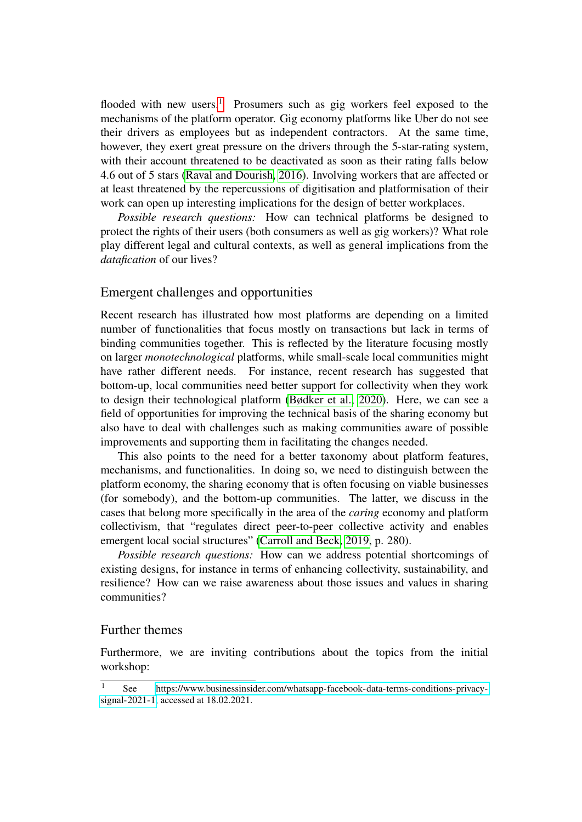flooded with new users.<sup>[1](#page-5-0)</sup> Prosumers such as gig workers feel exposed to the mechanisms of the platform operator. Gig economy platforms like Uber do not see their drivers as employees but as independent contractors. At the same time, however, they exert great pressure on the drivers through the 5-star-rating system, with their account threatened to be deactivated as soon as their rating falls below 4.6 out of 5 stars [\(Raval and Dourish, 2016\)](#page-11-6). Involving workers that are affected or at least threatened by the repercussions of digitisation and platformisation of their work can open up interesting implications for the design of better workplaces.

*Possible research questions:* How can technical platforms be designed to protect the rights of their users (both consumers as well as gig workers)? What role play different legal and cultural contexts, as well as general implications from the *datafication* of our lives?

#### Emergent challenges and opportunities

Recent research has illustrated how most platforms are depending on a limited number of functionalities that focus mostly on transactions but lack in terms of binding communities together. This is reflected by the literature focusing mostly on larger *monotechnological* platforms, while small-scale local communities might have rather different needs. For instance, recent research has suggested that bottom-up, local communities need better support for collectivity when they work to design their technological platform [\(Bødker et al., 2020\)](#page-10-5). Here, we can see a field of opportunities for improving the technical basis of the sharing economy but also have to deal with challenges such as making communities aware of possible improvements and supporting them in facilitating the changes needed.

This also points to the need for a better taxonomy about platform features, mechanisms, and functionalities. In doing so, we need to distinguish between the platform economy, the sharing economy that is often focusing on viable businesses (for somebody), and the bottom-up communities. The latter, we discuss in the cases that belong more specifically in the area of the *caring* economy and platform collectivism, that "regulates direct peer-to-peer collective activity and enables emergent local social structures" [\(Carroll and Beck, 2019,](#page-10-15) p. 280).

*Possible research questions:* How can we address potential shortcomings of existing designs, for instance in terms of enhancing collectivity, sustainability, and resilience? How can we raise awareness about those issues and values in sharing communities?

#### Further themes

Furthermore, we are inviting contributions about the topics from the initial workshop:

<span id="page-5-0"></span>See [https://www.businessinsider.com/whatsapp-facebook-data-terms-conditions-privacy](https://www.businessinsider.com/whatsapp-facebook-data-terms-conditions-privacy-signal-2021-1)[signal-2021-1,](https://www.businessinsider.com/whatsapp-facebook-data-terms-conditions-privacy-signal-2021-1) accessed at 18.02.2021.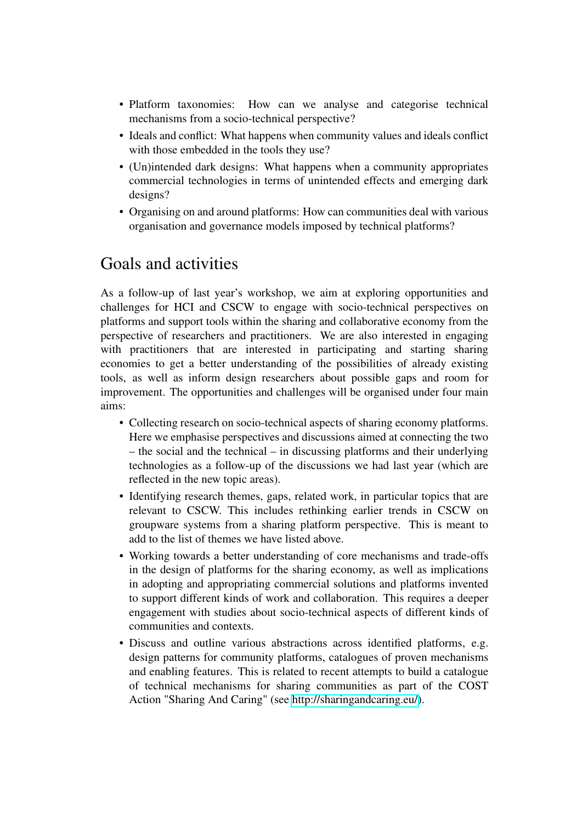- Platform taxonomies: How can we analyse and categorise technical mechanisms from a socio-technical perspective?
- Ideals and conflict: What happens when community values and ideals conflict with those embedded in the tools they use?
- (Un)intended dark designs: What happens when a community appropriates commercial technologies in terms of unintended effects and emerging dark designs?
- Organising on and around platforms: How can communities deal with various organisation and governance models imposed by technical platforms?

# Goals and activities

As a follow-up of last year's workshop, we aim at exploring opportunities and challenges for HCI and CSCW to engage with socio-technical perspectives on platforms and support tools within the sharing and collaborative economy from the perspective of researchers and practitioners. We are also interested in engaging with practitioners that are interested in participating and starting sharing economies to get a better understanding of the possibilities of already existing tools, as well as inform design researchers about possible gaps and room for improvement. The opportunities and challenges will be organised under four main aims:

- Collecting research on socio-technical aspects of sharing economy platforms. Here we emphasise perspectives and discussions aimed at connecting the two – the social and the technical – in discussing platforms and their underlying technologies as a follow-up of the discussions we had last year (which are reflected in the new topic areas).
- Identifying research themes, gaps, related work, in particular topics that are relevant to CSCW. This includes rethinking earlier trends in CSCW on groupware systems from a sharing platform perspective. This is meant to add to the list of themes we have listed above.
- Working towards a better understanding of core mechanisms and trade-offs in the design of platforms for the sharing economy, as well as implications in adopting and appropriating commercial solutions and platforms invented to support different kinds of work and collaboration. This requires a deeper engagement with studies about socio-technical aspects of different kinds of communities and contexts.
- Discuss and outline various abstractions across identified platforms, e.g. design patterns for community platforms, catalogues of proven mechanisms and enabling features. This is related to recent attempts to build a catalogue of technical mechanisms for sharing communities as part of the COST Action "Sharing And Caring" (see [http://sharingandcaring.eu/\)](http://sharingandcaring.eu/).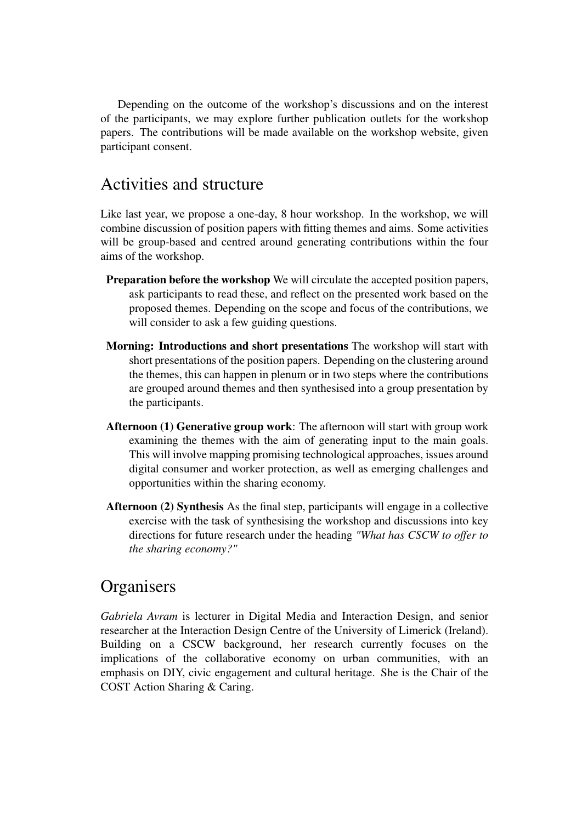Depending on the outcome of the workshop's discussions and on the interest of the participants, we may explore further publication outlets for the workshop papers. The contributions will be made available on the workshop website, given participant consent.

### Activities and structure

Like last year, we propose a one-day, 8 hour workshop. In the workshop, we will combine discussion of position papers with fitting themes and aims. Some activities will be group-based and centred around generating contributions within the four aims of the workshop.

- Preparation before the workshop We will circulate the accepted position papers, ask participants to read these, and reflect on the presented work based on the proposed themes. Depending on the scope and focus of the contributions, we will consider to ask a few guiding questions.
- Morning: Introductions and short presentations The workshop will start with short presentations of the position papers. Depending on the clustering around the themes, this can happen in plenum or in two steps where the contributions are grouped around themes and then synthesised into a group presentation by the participants.
- Afternoon (1) Generative group work: The afternoon will start with group work examining the themes with the aim of generating input to the main goals. This will involve mapping promising technological approaches, issues around digital consumer and worker protection, as well as emerging challenges and opportunities within the sharing economy.
- Afternoon (2) Synthesis As the final step, participants will engage in a collective exercise with the task of synthesising the workshop and discussions into key directions for future research under the heading *"What has CSCW to offer to the sharing economy?"*

### **Organisers**

*Gabriela Avram* is lecturer in Digital Media and Interaction Design, and senior researcher at the Interaction Design Centre of the University of Limerick (Ireland). Building on a CSCW background, her research currently focuses on the implications of the collaborative economy on urban communities, with an emphasis on DIY, civic engagement and cultural heritage. She is the Chair of the COST Action Sharing & Caring.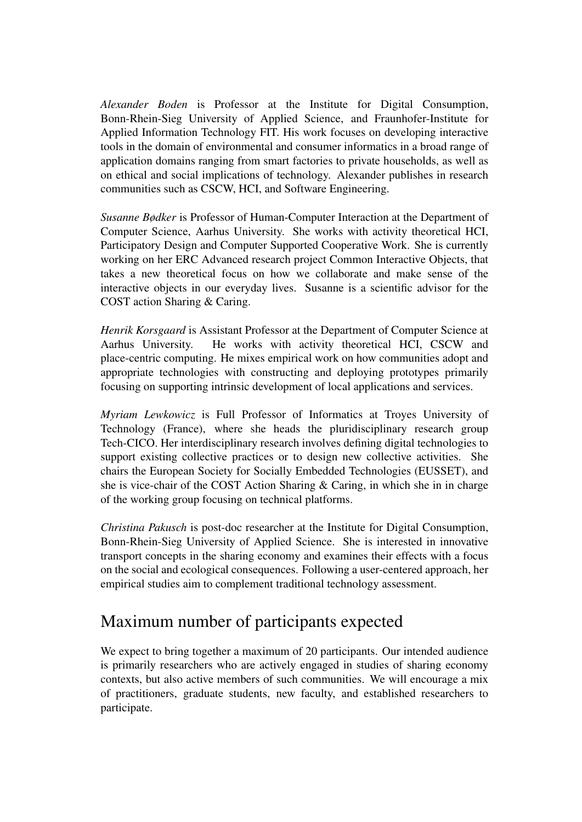*Alexander Boden* is Professor at the Institute for Digital Consumption, Bonn-Rhein-Sieg University of Applied Science, and Fraunhofer-Institute for Applied Information Technology FIT. His work focuses on developing interactive tools in the domain of environmental and consumer informatics in a broad range of application domains ranging from smart factories to private households, as well as on ethical and social implications of technology. Alexander publishes in research communities such as CSCW, HCI, and Software Engineering.

*Susanne Bødker* is Professor of Human-Computer Interaction at the Department of Computer Science, Aarhus University. She works with activity theoretical HCI, Participatory Design and Computer Supported Cooperative Work. She is currently working on her ERC Advanced research project Common Interactive Objects, that takes a new theoretical focus on how we collaborate and make sense of the interactive objects in our everyday lives. Susanne is a scientific advisor for the COST action Sharing & Caring.

*Henrik Korsgaard* is Assistant Professor at the Department of Computer Science at Aarhus University. He works with activity theoretical HCI, CSCW and place-centric computing. He mixes empirical work on how communities adopt and appropriate technologies with constructing and deploying prototypes primarily focusing on supporting intrinsic development of local applications and services.

*Myriam Lewkowicz* is Full Professor of Informatics at Troyes University of Technology (France), where she heads the pluridisciplinary research group Tech-CICO. Her interdisciplinary research involves defining digital technologies to support existing collective practices or to design new collective activities. She chairs the European Society for Socially Embedded Technologies (EUSSET), and she is vice-chair of the COST Action Sharing & Caring, in which she in in charge of the working group focusing on technical platforms.

*Christina Pakusch* is post-doc researcher at the Institute for Digital Consumption, Bonn-Rhein-Sieg University of Applied Science. She is interested in innovative transport concepts in the sharing economy and examines their effects with a focus on the social and ecological consequences. Following a user-centered approach, her empirical studies aim to complement traditional technology assessment.

# Maximum number of participants expected

We expect to bring together a maximum of 20 participants. Our intended audience is primarily researchers who are actively engaged in studies of sharing economy contexts, but also active members of such communities. We will encourage a mix of practitioners, graduate students, new faculty, and established researchers to participate.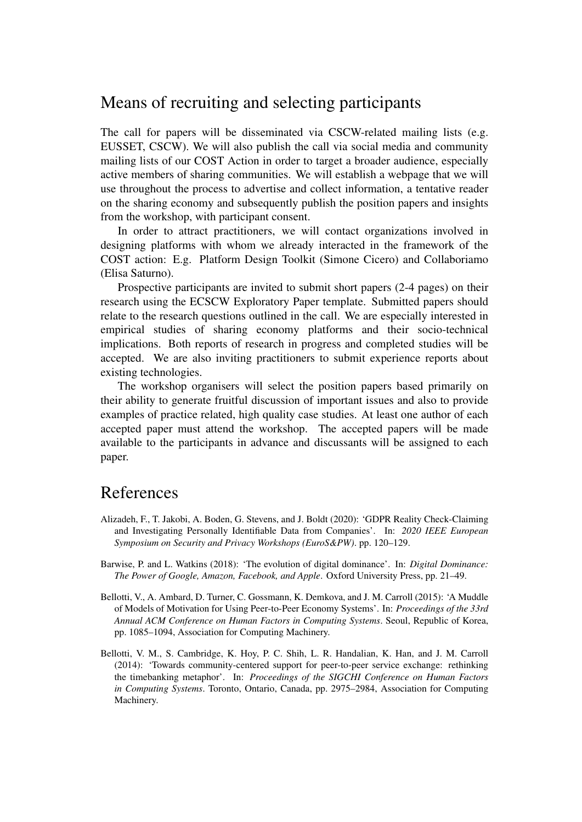### Means of recruiting and selecting participants

The call for papers will be disseminated via CSCW-related mailing lists (e.g. EUSSET, CSCW). We will also publish the call via social media and community mailing lists of our COST Action in order to target a broader audience, especially active members of sharing communities. We will establish a webpage that we will use throughout the process to advertise and collect information, a tentative reader on the sharing economy and subsequently publish the position papers and insights from the workshop, with participant consent.

In order to attract practitioners, we will contact organizations involved in designing platforms with whom we already interacted in the framework of the COST action: E.g. Platform Design Toolkit (Simone Cicero) and Collaboriamo (Elisa Saturno).

Prospective participants are invited to submit short papers (2-4 pages) on their research using the ECSCW Exploratory Paper template. Submitted papers should relate to the research questions outlined in the call. We are especially interested in empirical studies of sharing economy platforms and their socio-technical implications. Both reports of research in progress and completed studies will be accepted. We are also inviting practitioners to submit experience reports about existing technologies.

The workshop organisers will select the position papers based primarily on their ability to generate fruitful discussion of important issues and also to provide examples of practice related, high quality case studies. At least one author of each accepted paper must attend the workshop. The accepted papers will be made available to the participants in advance and discussants will be assigned to each paper.

### References

- <span id="page-9-3"></span>Alizadeh, F., T. Jakobi, A. Boden, G. Stevens, and J. Boldt (2020): 'GDPR Reality Check-Claiming and Investigating Personally Identifiable Data from Companies'. In: *2020 IEEE European Symposium on Security and Privacy Workshops (EuroS&PW)*. pp. 120–129.
- <span id="page-9-2"></span>Barwise, P. and L. Watkins (2018): 'The evolution of digital dominance'. In: *Digital Dominance: The Power of Google, Amazon, Facebook, and Apple*. Oxford University Press, pp. 21–49.
- <span id="page-9-1"></span>Bellotti, V., A. Ambard, D. Turner, C. Gossmann, K. Demkova, and J. M. Carroll (2015): 'A Muddle of Models of Motivation for Using Peer-to-Peer Economy Systems'. In: *Proceedings of the 33rd Annual ACM Conference on Human Factors in Computing Systems*. Seoul, Republic of Korea, pp. 1085–1094, Association for Computing Machinery.
- <span id="page-9-0"></span>Bellotti, V. M., S. Cambridge, K. Hoy, P. C. Shih, L. R. Handalian, K. Han, and J. M. Carroll (2014): 'Towards community-centered support for peer-to-peer service exchange: rethinking the timebanking metaphor'. In: *Proceedings of the SIGCHI Conference on Human Factors in Computing Systems*. Toronto, Ontario, Canada, pp. 2975–2984, Association for Computing Machinery.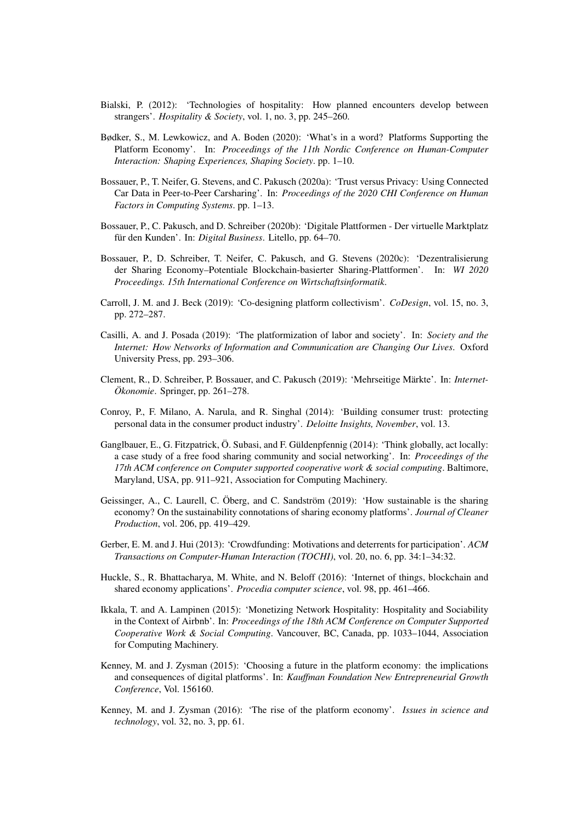- <span id="page-10-7"></span>Bialski, P. (2012): 'Technologies of hospitality: How planned encounters develop between strangers'. *Hospitality & Society*, vol. 1, no. 3, pp. 245–260.
- <span id="page-10-5"></span>Bødker, S., M. Lewkowicz, and A. Boden (2020): 'What's in a word? Platforms Supporting the Platform Economy'. In: *Proceedings of the 11th Nordic Conference on Human-Computer Interaction: Shaping Experiences, Shaping Society*. pp. 1–10.
- <span id="page-10-12"></span>Bossauer, P., T. Neifer, G. Stevens, and C. Pakusch (2020a): 'Trust versus Privacy: Using Connected Car Data in Peer-to-Peer Carsharing'. In: *Proceedings of the 2020 CHI Conference on Human Factors in Computing Systems*. pp. 1–13.
- <span id="page-10-9"></span>Bossauer, P., C. Pakusch, and D. Schreiber (2020b): 'Digitale Plattformen - Der virtuelle Marktplatz für den Kunden'. In: *Digital Business*. Litello, pp. 64–70.
- <span id="page-10-10"></span>Bossauer, P., D. Schreiber, T. Neifer, C. Pakusch, and G. Stevens (2020c): 'Dezentralisierung der Sharing Economy–Potentiale Blockchain-basierter Sharing-Plattformen'. In: *WI 2020 Proceedings. 15th International Conference on Wirtschaftsinformatik*.
- <span id="page-10-15"></span>Carroll, J. M. and J. Beck (2019): 'Co-designing platform collectivism'. *CoDesign*, vol. 15, no. 3, pp. 272–287.
- <span id="page-10-3"></span>Casilli, A. and J. Posada (2019): 'The platformization of labor and society'. In: *Society and the Internet: How Networks of Information and Communication are Changing Our Lives*. Oxford University Press, pp. 293–306.
- <span id="page-10-13"></span>Clement, R., D. Schreiber, P. Bossauer, and C. Pakusch (2019): 'Mehrseitige Märkte'. In: *Internet-Ökonomie*. Springer, pp. 261–278.
- <span id="page-10-14"></span>Conroy, P., F. Milano, A. Narula, and R. Singhal (2014): 'Building consumer trust: protecting personal data in the consumer product industry'. *Deloitte Insights, November*, vol. 13.
- <span id="page-10-6"></span>Ganglbauer, E., G. Fitzpatrick, Ö. Subasi, and F. Güldenpfennig (2014): 'Think globally, act locally: a case study of a free food sharing community and social networking'. In: *Proceedings of the 17th ACM conference on Computer supported cooperative work & social computing*. Baltimore, Maryland, USA, pp. 911–921, Association for Computing Machinery.
- <span id="page-10-1"></span>Geissinger, A., C. Laurell, C. Öberg, and C. Sandström (2019): 'How sustainable is the sharing economy? On the sustainability connotations of sharing economy platforms'. *Journal of Cleaner Production*, vol. 206, pp. 419–429.
- <span id="page-10-8"></span>Gerber, E. M. and J. Hui (2013): 'Crowdfunding: Motivations and deterrents for participation'. *ACM Transactions on Computer-Human Interaction (TOCHI)*, vol. 20, no. 6, pp. 34:1–34:32.
- <span id="page-10-11"></span>Huckle, S., R. Bhattacharya, M. White, and N. Beloff (2016): 'Internet of things, blockchain and shared economy applications'. *Procedia computer science*, vol. 98, pp. 461–466.
- <span id="page-10-2"></span>Ikkala, T. and A. Lampinen (2015): 'Monetizing Network Hospitality: Hospitality and Sociability in the Context of Airbnb'. In: *Proceedings of the 18th ACM Conference on Computer Supported Cooperative Work & Social Computing*. Vancouver, BC, Canada, pp. 1033–1044, Association for Computing Machinery.
- <span id="page-10-0"></span>Kenney, M. and J. Zysman (2015): 'Choosing a future in the platform economy: the implications and consequences of digital platforms'. In: *Kauffman Foundation New Entrepreneurial Growth Conference*, Vol. 156160.
- <span id="page-10-4"></span>Kenney, M. and J. Zysman (2016): 'The rise of the platform economy'. *Issues in science and technology*, vol. 32, no. 3, pp. 61.